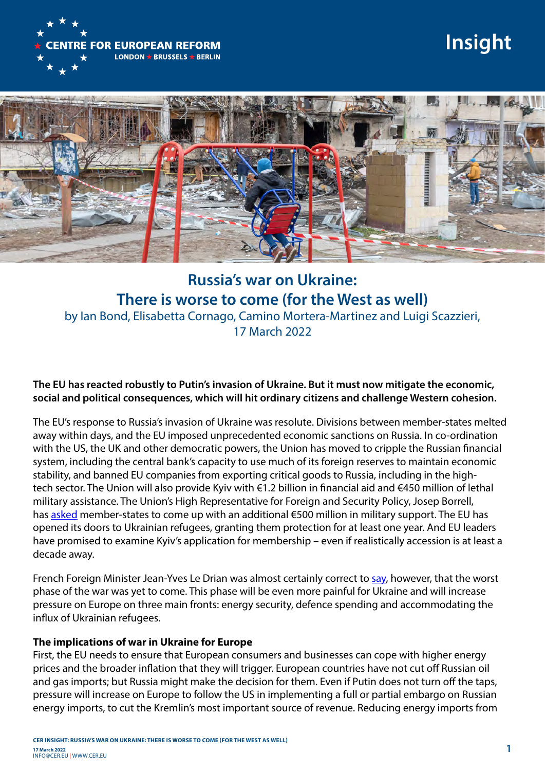

# **Insight**



## **Russia's war on Ukraine: There is worse to come (for the West as well)** by Ian Bond, Elisabetta Cornago, Camino Mortera-Martinez and Luigi Scazzieri, 17 March 2022

### **The EU has reacted robustly to Putin's invasion of Ukraine. But it must now mitigate the economic, social and political consequences, which will hit ordinary citizens and challenge Western cohesion.**

The EU's response to Russia's invasion of Ukraine was resolute. Divisions between member-states melted away within days, and the EU imposed unprecedented economic sanctions on Russia. In co-ordination with the US, the UK and other democratic powers, the Union has moved to cripple the Russian financial system, including the central bank's capacity to use much of its foreign reserves to maintain economic stability, and banned EU companies from exporting critical goods to Russia, including in the hightech sector. The Union will also provide Kyiv with €1.2 billion in financial aid and €450 million of lethal military assistance. The Union's High Representative for Foreign and Security Policy, Josep Borrell, has [asked](https://eeas.europa.eu/headquarters/headquarters-homepage/112648/informal-eu-leaders%E2%80%99-meeting-versailles-remarks-high-representativevice-president-josep_en) member-states to come up with an additional €500 million in military support. The EU has opened its doors to Ukrainian refugees, granting them protection for at least one year. And EU leaders have promised to examine Kyiv's application for membership – even if realistically accession is at least a decade away.

French Foreign Minister Jean-Yves Le Drian was almost certainly correct to [say,](https://www.rfi.fr/en/europe/20220303-france-says-russian-invasion-signals-new-era-for-europe-tough-days-to-come-emmanuel-macron-jean-yves-le-drian) however, that the worst phase of the war was yet to come. This phase will be even more painful for Ukraine and will increase pressure on Europe on three main fronts: energy security, defence spending and accommodating the influx of Ukrainian refugees.

### **The implications of war in Ukraine for Europe**

First, the EU needs to ensure that European consumers and businesses can cope with higher energy prices and the broader inflation that they will trigger. European countries have not cut off Russian oil and gas imports; but Russia might make the decision for them. Even if Putin does not turn off the taps, pressure will increase on Europe to follow the US in implementing a full or partial embargo on Russian energy imports, to cut the Kremlin's most important source of revenue. Reducing energy imports from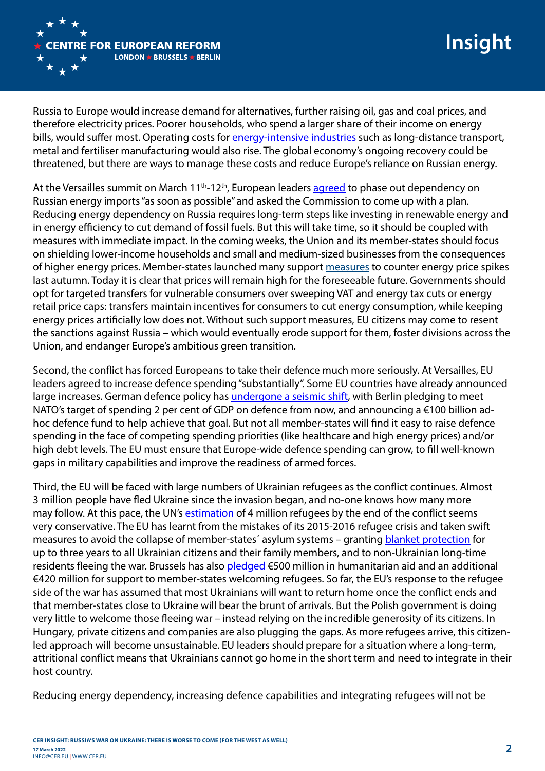

Russia to Europe would increase demand for alternatives, further raising oil, gas and coal prices, and therefore electricity prices. Poorer households, who spend a larger share of their income on energy bills, would suffer most. Operating costs for [energy-intensive industries](https://www.ft.com/content/82340b2a-f027-4b0e-8217-d016135f1e83) such as long-distance transport, metal and fertiliser manufacturing would also rise. The global economy's ongoing recovery could be threatened, but there are ways to manage these costs and reduce Europe's reliance on Russian energy.

At the Versailles summit on March 11<sup>th</sup>-12<sup>th</sup>, European leaders [agreed](https://www.consilium.europa.eu/media/54773/20220311-versailles-declaration-en.pdf) to phase out dependency on Russian energy imports "as soon as possible" and asked the Commission to come up with a plan. Reducing energy dependency on Russia requires long-term steps like investing in renewable energy and in energy efficiency to cut demand of fossil fuels. But this will take time, so it should be coupled with measures with immediate impact. In the coming weeks, the Union and its member-states should focus on shielding lower-income households and small and medium-sized businesses from the consequences of higher energy prices. Member-states launched many support [measures](https://www.bruegel.org/publications/datasets/national-policies-to-shield-consumers-from-rising-energy-prices/) to counter energy price spikes last autumn. Today it is clear that prices will remain high for the foreseeable future. Governments should opt for targeted transfers for vulnerable consumers over sweeping VAT and energy tax cuts or energy retail price caps: transfers maintain incentives for consumers to cut energy consumption, while keeping energy prices artificially low does not. Without such support measures, EU citizens may come to resent the sanctions against Russia – which would eventually erode support for them, foster divisions across the Union, and endanger Europe's ambitious green transition.

Second, the conflict has forced Europeans to take their defence much more seriously. At Versailles, EU leaders agreed to increase defence spending "substantially". Some EU countries have already announced large increases. German defence policy has [undergone a seismic shift](https://warontherocks.com/2022/03/waking-a-sleeping-giant-whats-next-for-german-security-policy/), with Berlin pledging to meet NATO's target of spending 2 per cent of GDP on defence from now, and announcing a €100 billion adhoc defence fund to help achieve that goal. But not all member-states will find it easy to raise defence spending in the face of competing spending priorities (like healthcare and high energy prices) and/or high debt levels. The EU must ensure that Europe-wide defence spending can grow, to fill well-known gaps in military capabilities and improve the readiness of armed forces.

Third, the EU will be faced with large numbers of Ukrainian refugees as the conflict continues. Almost 3 million people have fled Ukraine since the invasion began, and no-one knows how many more may follow. At this pace, the UN's [estimation](https://www.reuters.com/world/europe/second-wave-refugees-ukraine-will-be-more-vulnerable-unhcr-head-says-2022-03-08/) of 4 million refugees by the end of the conflict seems very conservative. The EU has learnt from the mistakes of its 2015-2016 refugee crisis and taken swift measures to avoid the collapse of member-states´ asylum systems – granting [blanket protection](https://www.cer.eu/insights/four-questions-how-russian-assault-ukraine-will-affect-europe) for up to three years to all Ukrainian citizens and their family members, and to non-Ukrainian long-time residents fleeing the war. Brussels has also [pledged](https://ec.europa.eu/commission/presscorner/detail/en/ip_22_1610) €500 million in humanitarian aid and an additional €420 million for support to member-states welcoming refugees. So far, the EU's response to the refugee side of the war has assumed that most Ukrainians will want to return home once the conflict ends and that member-states close to Ukraine will bear the brunt of arrivals. But the Polish government is doing very little to welcome those fleeing war – instead relying on the incredible generosity of its citizens. In Hungary, private citizens and companies are also plugging the gaps. As more refugees arrive, this citizenled approach will become unsustainable. EU leaders should prepare for a situation where a long-term, attritional conflict means that Ukrainians cannot go home in the short term and need to integrate in their host country.

Reducing energy dependency, increasing defence capabilities and integrating refugees will not be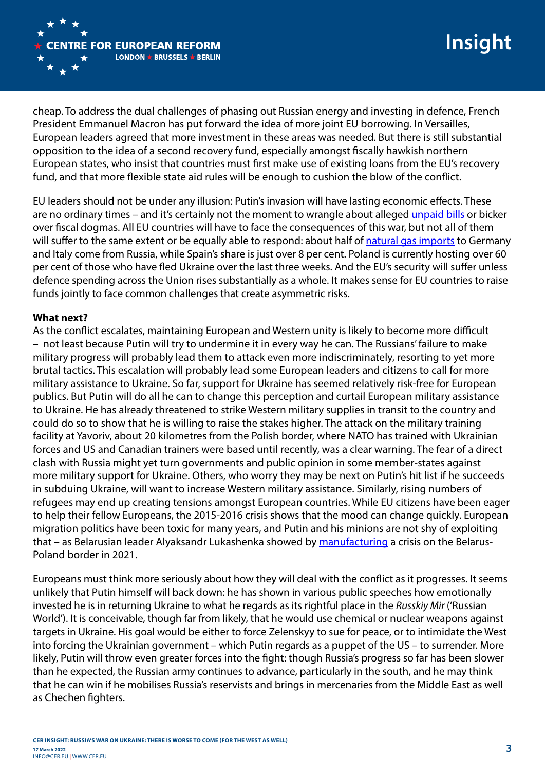

cheap. To address the dual challenges of phasing out Russian energy and investing in defence, French President Emmanuel Macron has put forward the idea of more joint EU borrowing. In Versailles, European leaders agreed that more investment in these areas was needed. But there is still substantial opposition to the idea of a second recovery fund, especially amongst fiscally hawkish northern European states, who insist that countries must first make use of existing loans from the EU's recovery fund, and that more flexible state aid rules will be enough to cushion the blow of the conflict.

EU leaders should not be under any illusion: Putin's invasion will have lasting economic effects. These are no ordinary times – and it's certainly not the moment to wrangle about alleged [unpaid bills](https://www.ft.com/content/70ab27d6-d93a-4b10-99f0-f2d470ead786) or bicker over fiscal dogmas. All EU countries will have to face the consequences of this war, but not all of them will suffer to the same extent or be equally able to respond: about half of [natural gas imports](https://ec.europa.eu/eurostat/cache/infographs/energy_trade/entrade.html?lang=en&lang=en) to Germany and Italy come from Russia, while Spain's share is just over 8 per cent. Poland is currently hosting over 60 per cent of those who have fled Ukraine over the last three weeks. And the EU's security will suffer unless defence spending across the Union rises substantially as a whole. It makes sense for EU countries to raise funds jointly to face common challenges that create asymmetric risks.

### **What next?**

As the conflict escalates, maintaining European and Western unity is likely to become more difficult – not least because Putin will try to undermine it in every way he can. The Russians' failure to make military progress will probably lead them to attack even more indiscriminately, resorting to yet more brutal tactics. This escalation will probably lead some European leaders and citizens to call for more military assistance to Ukraine. So far, support for Ukraine has seemed relatively risk-free for European publics. But Putin will do all he can to change this perception and curtail European military assistance to Ukraine. He has already threatened to strike Western military supplies in transit to the country and could do so to show that he is willing to raise the stakes higher. The attack on the military training facility at Yavoriv, about 20 kilometres from the Polish border, where NATO has trained with Ukrainian forces and US and Canadian trainers were based until recently, was a clear warning. The fear of a direct clash with Russia might yet turn governments and public opinion in some member-states against more military support for Ukraine. Others, who worry they may be next on Putin's hit list if he succeeds in subduing Ukraine, will want to increase Western military assistance. Similarly, rising numbers of refugees may end up creating tensions amongst European countries. While EU citizens have been eager to help their fellow Europeans, the 2015-2016 crisis shows that the mood can change quickly. European migration politics have been toxic for many years, and Putin and his minions are not shy of exploiting that – as Belarusian leader Alyaksandr Lukashenka showed by [manufacturing](https://www.cer.eu/insights/lukashenka-problem-not-migrants) a crisis on the Belarus-Poland border in 2021.

Europeans must think more seriously about how they will deal with the conflict as it progresses. It seems unlikely that Putin himself will back down: he has shown in various public speeches how emotionally invested he is in returning Ukraine to what he regards as its rightful place in the *Russkiy Mir* ('Russian World'). It is conceivable, though far from likely, that he would use chemical or nuclear weapons against targets in Ukraine. His goal would be either to force Zelenskyy to sue for peace, or to intimidate the West into forcing the Ukrainian government – which Putin regards as a puppet of the US – to surrender. More likely, Putin will throw even greater forces into the fight: though Russia's progress so far has been slower than he expected, the Russian army continues to advance, particularly in the south, and he may think that he can win if he mobilises Russia's reservists and brings in mercenaries from the Middle East as well as Chechen fighters.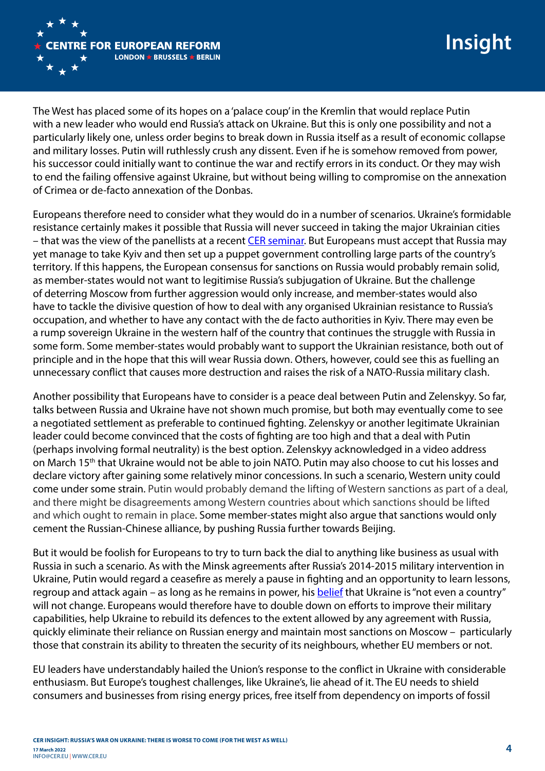

The West has placed some of its hopes on a 'palace coup' in the Kremlin that would replace Putin with a new leader who would end Russia's attack on Ukraine. But this is only one possibility and not a particularly likely one, unless order begins to break down in Russia itself as a result of economic collapse and military losses. Putin will ruthlessly crush any dissent. Even if he is somehow removed from power, his successor could initially want to continue the war and rectify errors in its conduct. Or they may wish to end the failing offensive against Ukraine, but without being willing to compromise on the annexation of Crimea or de-facto annexation of the Donbas.

Europeans therefore need to consider what they would do in a number of scenarios. Ukraine's formidable resistance certainly makes it possible that Russia will never succeed in taking the major Ukrainian cities – that was the view of the panellists at a recent [CER seminar](https://www.cer.eu/events/discussion-war-ukraine-strategic-military-and-historical-perspectives). But Europeans must accept that Russia may yet manage to take Kyiv and then set up a puppet government controlling large parts of the country's territory. If this happens, the European consensus for sanctions on Russia would probably remain solid, as member-states would not want to legitimise Russia's subjugation of Ukraine. But the challenge of deterring Moscow from further aggression would only increase, and member-states would also have to tackle the divisive question of how to deal with any organised Ukrainian resistance to Russia's occupation, and whether to have any contact with the de facto authorities in Kyiv. There may even be a rump sovereign Ukraine in the western half of the country that continues the struggle with Russia in some form. Some member-states would probably want to support the Ukrainian resistance, both out of principle and in the hope that this will wear Russia down. Others, however, could see this as fuelling an unnecessary conflict that causes more destruction and raises the risk of a NATO-Russia military clash.

Another possibility that Europeans have to consider is a peace deal between Putin and Zelenskyy. So far, talks between Russia and Ukraine have not shown much promise, but both may eventually come to see a negotiated settlement as preferable to continued fighting. Zelenskyy or another legitimate Ukrainian leader could become convinced that the costs of fighting are too high and that a deal with Putin (perhaps involving formal neutrality) is the best option. Zelenskyy acknowledged in a video address on March 15th that Ukraine would not be able to join NATO. Putin may also choose to cut his losses and declare victory after gaining some relatively minor concessions. In such a scenario, Western unity could come under some strain. Putin would probably demand the lifting of Western sanctions as part of a deal, and there might be disagreements among Western countries about which sanctions should be lifted and which ought to remain in place. Some member-states might also argue that sanctions would only cement the Russian-Chinese alliance, by pushing Russia further towards Beijing.

But it would be foolish for Europeans to try to turn back the dial to anything like business as usual with Russia in such a scenario. As with the Minsk agreements after Russia's 2014-2015 military intervention in Ukraine, Putin would regard a ceasefire as merely a pause in fighting and an opportunity to learn lessons, regroup and attack again – as long as he remains in power, his [belief](https://edition.cnn.com/2014/03/03/opinion/stent-putin-ukraine-russia-endgame/index.html) that Ukraine is "not even a country" will not change. Europeans would therefore have to double down on efforts to improve their military capabilities, help Ukraine to rebuild its defences to the extent allowed by any agreement with Russia, quickly eliminate their reliance on Russian energy and maintain most sanctions on Moscow – particularly those that constrain its ability to threaten the security of its neighbours, whether EU members or not.

EU leaders have understandably hailed the Union's response to the conflict in Ukraine with considerable enthusiasm. But Europe's toughest challenges, like Ukraine's, lie ahead of it. The EU needs to shield consumers and businesses from rising energy prices, free itself from dependency on imports of fossil